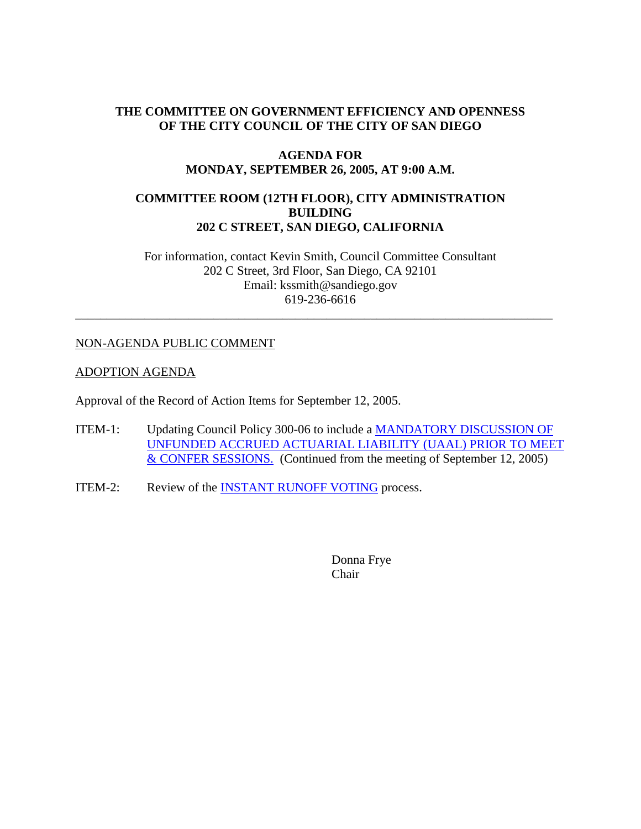# **THE COMMITTEE ON GOVERNMENT EFFICIENCY AND OPENNESS OF THE CITY COUNCIL OF THE CITY OF SAN DIEGO**

### **AGENDA FOR MONDAY, SEPTEMBER 26, 2005, AT 9:00 A.M.**

# **COMMITTEE ROOM (12TH FLOOR), CITY ADMINISTRATION BUILDING 202 C STREET, SAN DIEGO, CALIFORNIA**

For information, contact Kevin Smith, Council Committee Consultant 202 C Street, 3rd Floor, San Diego, CA 92101 Email: kssmith@sandiego.gov 619-236-6616

\_\_\_\_\_\_\_\_\_\_\_\_\_\_\_\_\_\_\_\_\_\_\_\_\_\_\_\_\_\_\_\_\_\_\_\_\_\_\_\_\_\_\_\_\_\_\_\_\_\_\_\_\_\_\_\_\_\_\_\_\_\_\_\_\_\_\_\_\_\_\_\_\_\_\_\_

## NON-AGENDA PUBLIC COMMENT

## ADOPTION AGENDA

Approval of the Record of Action Items for September 12, 2005.

- ITEM-1: Updating Council Policy 300-06 to include a MANDATORY DISCUSSION OF UNFUNDED ACCRUED ACTUARIAL LIABILITY (UAAL) PRIOR TO MEET & CONFER SESSIONS. (Continued from the meeting of September 12, 2005)
- ITEM-2: Review of the INSTANT RUNOFF VOTING process.

Donna Frye Chair